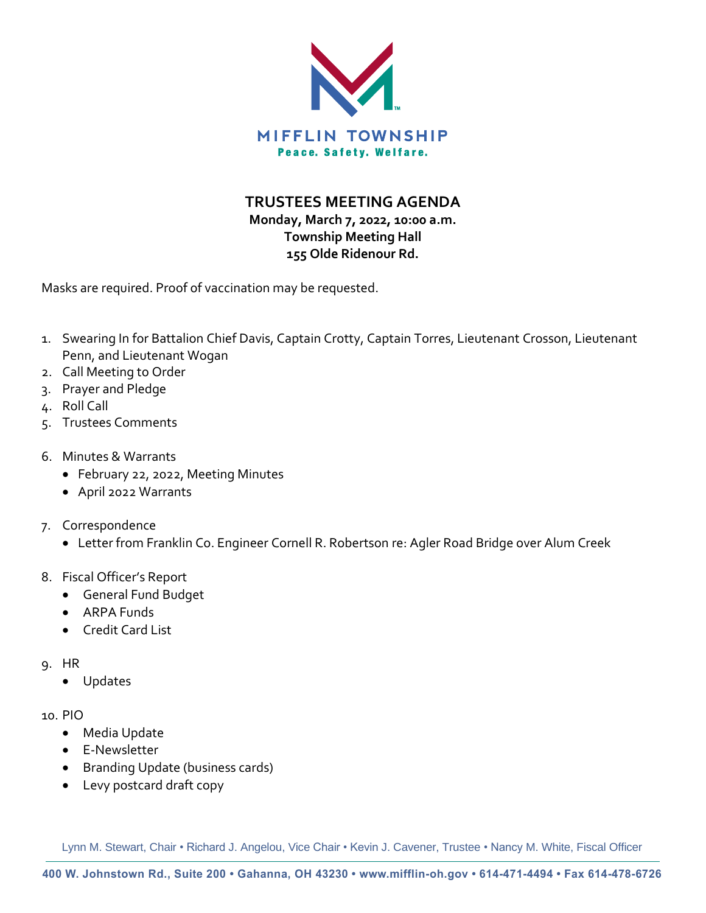

**TRUSTEES MEETING AGENDA**

**Monday, March 7, 2022, 10:00 a.m. Township Meeting Hall 155 Olde Ridenour Rd.**

Masks are required. Proof of vaccination may be requested.

- 1. Swearing In for Battalion Chief Davis, Captain Crotty, Captain Torres, Lieutenant Crosson, Lieutenant Penn, and Lieutenant Wogan
- 2. Call Meeting to Order
- 3. Prayer and Pledge
- 4. Roll Call
- 5. Trustees Comments
- 6. Minutes & Warrants
	- February 22, 2022, Meeting Minutes
	- April 2022 Warrants
- 7. Correspondence
	- Letter from Franklin Co. Engineer Cornell R. Robertson re: Agler Road Bridge over Alum Creek
- 8. Fiscal Officer's Report
	- General Fund Budget
	- ARPA Funds
	- Credit Card List
- 9. HR
	- Updates

### 10. PIO

- Media Update
- E-Newsletter
- Branding Update (business cards)
- Levy postcard draft copy

Lynn M. Stewart, Chair • Richard J. Angelou, Vice Chair • Kevin J. Cavener, Trustee • Nancy M. White, Fiscal Officer